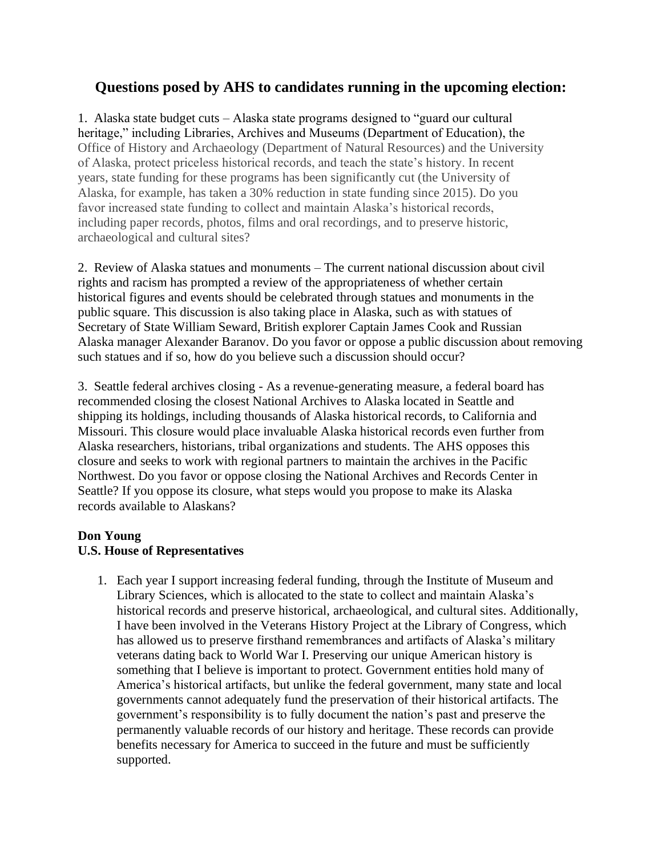# **Questions posed by AHS to candidates running in the upcoming election:**

1. Alaska state budget cuts – Alaska state programs designed to "guard our cultural heritage," including Libraries, Archives and Museums (Department of Education), the Office of History and Archaeology (Department of Natural Resources) and the University of Alaska, protect priceless historical records, and teach the state's history. In recent years, state funding for these programs has been significantly cut (the University of Alaska, for example, has taken a 30% reduction in state funding since 2015). Do you favor increased state funding to collect and maintain Alaska's historical records, including paper records, photos, films and oral recordings, and to preserve historic, archaeological and cultural sites?

2. Review of Alaska statues and monuments – The current national discussion about civil rights and racism has prompted a review of the appropriateness of whether certain historical figures and events should be celebrated through statues and monuments in the public square. This discussion is also taking place in Alaska, such as with statues of Secretary of State William Seward, British explorer Captain James Cook and Russian Alaska manager Alexander Baranov. Do you favor or oppose a public discussion about removing such statues and if so, how do you believe such a discussion should occur?

3. Seattle federal archives closing - As a revenue-generating measure, a federal board has recommended closing the closest National Archives to Alaska located in Seattle and shipping its holdings, including thousands of Alaska historical records, to California and Missouri. This closure would place invaluable Alaska historical records even further from Alaska researchers, historians, tribal organizations and students. The AHS opposes this closure and seeks to work with regional partners to maintain the archives in the Pacific Northwest. Do you favor or oppose closing the National Archives and Records Center in Seattle? If you oppose its closure, what steps would you propose to make its Alaska records available to Alaskans?

### **Don Young**

### **U.S. House of Representatives**

1. Each year I support increasing federal funding, through the Institute of Museum and Library Sciences, which is allocated to the state to collect and maintain Alaska's historical records and preserve historical, archaeological, and cultural sites. Additionally, I have been involved in the Veterans History Project at the Library of Congress, which has allowed us to preserve firsthand remembrances and artifacts of Alaska's military veterans dating back to World War I. Preserving our unique American history is something that I believe is important to protect. Government entities hold many of America's historical artifacts, but unlike the federal government, many state and local governments cannot adequately fund the preservation of their historical artifacts. The government's responsibility is to fully document the nation's past and preserve the permanently valuable records of our history and heritage. These records can provide benefits necessary for America to succeed in the future and must be sufficiently supported.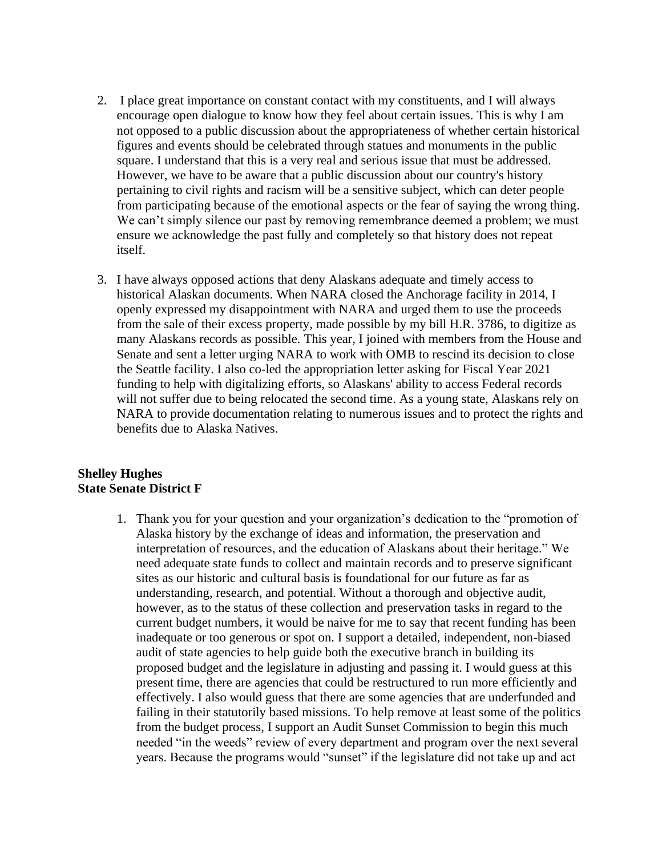- 2. I place great importance on constant contact with my constituents, and I will always encourage open dialogue to know how they feel about certain issues. This is why I am not opposed to a public discussion about the appropriateness of whether certain historical figures and events should be celebrated through statues and monuments in the public square. I understand that this is a very real and serious issue that must be addressed. However, we have to be aware that a public discussion about our country's history pertaining to civil rights and racism will be a sensitive subject, which can deter people from participating because of the emotional aspects or the fear of saying the wrong thing. We can't simply silence our past by removing remembrance deemed a problem; we must ensure we acknowledge the past fully and completely so that history does not repeat itself.
- 3. I have always opposed actions that deny Alaskans adequate and timely access to historical Alaskan documents. When NARA closed the Anchorage facility in 2014, I openly expressed my disappointment with NARA and urged them to use the proceeds from the sale of their excess property, made possible by my bill H.R. 3786, to digitize as many Alaskans records as possible. This year, I joined with members from the House and Senate and sent a letter urging NARA to work with OMB to rescind its decision to close the Seattle facility. I also co-led the appropriation letter asking for Fiscal Year 2021 funding to help with digitalizing efforts, so Alaskans' ability to access Federal records will not suffer due to being relocated the second time. As a young state, Alaskans rely on NARA to provide documentation relating to numerous issues and to protect the rights and benefits due to Alaska Natives.

#### **Shelley Hughes State Senate District F**

1. Thank you for your question and your organization's dedication to the "promotion of Alaska history by the exchange of ideas and information, the preservation and interpretation of resources, and the education of Alaskans about their heritage." We need adequate state funds to collect and maintain records and to preserve significant sites as our historic and cultural basis is foundational for our future as far as understanding, research, and potential. Without a thorough and objective audit, however, as to the status of these collection and preservation tasks in regard to the current budget numbers, it would be naive for me to say that recent funding has been inadequate or too generous or spot on. I support a detailed, independent, non-biased audit of state agencies to help guide both the executive branch in building its proposed budget and the legislature in adjusting and passing it. I would guess at this present time, there are agencies that could be restructured to run more efficiently and effectively. I also would guess that there are some agencies that are underfunded and failing in their statutorily based missions. To help remove at least some of the politics from the budget process, I support an Audit Sunset Commission to begin this much needed "in the weeds" review of every department and program over the next several years. Because the programs would "sunset" if the legislature did not take up and act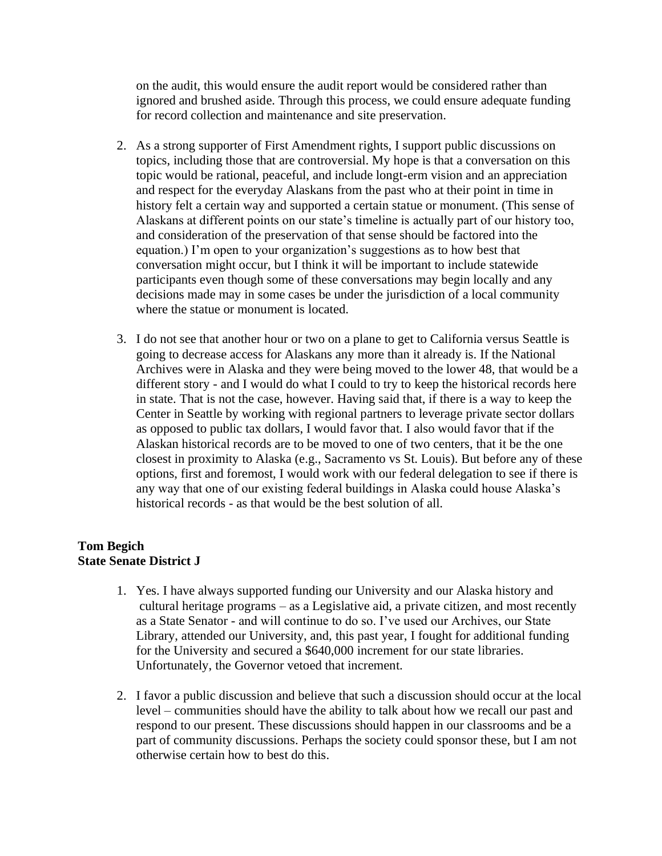on the audit, this would ensure the audit report would be considered rather than ignored and brushed aside. Through this process, we could ensure adequate funding for record collection and maintenance and site preservation.

- 2. As a strong supporter of First Amendment rights, I support public discussions on topics, including those that are controversial. My hope is that a conversation on this topic would be rational, peaceful, and include longt-erm vision and an appreciation and respect for the everyday Alaskans from the past who at their point in time in history felt a certain way and supported a certain statue or monument. (This sense of Alaskans at different points on our state's timeline is actually part of our history too, and consideration of the preservation of that sense should be factored into the equation.) I'm open to your organization's suggestions as to how best that conversation might occur, but I think it will be important to include statewide participants even though some of these conversations may begin locally and any decisions made may in some cases be under the jurisdiction of a local community where the statue or monument is located.
- 3. I do not see that another hour or two on a plane to get to California versus Seattle is going to decrease access for Alaskans any more than it already is. If the National Archives were in Alaska and they were being moved to the lower 48, that would be a different story - and I would do what I could to try to keep the historical records here in state. That is not the case, however. Having said that, if there is a way to keep the Center in Seattle by working with regional partners to leverage private sector dollars as opposed to public tax dollars, I would favor that. I also would favor that if the Alaskan historical records are to be moved to one of two centers, that it be the one closest in proximity to Alaska (e.g., Sacramento vs St. Louis). But before any of these options, first and foremost, I would work with our federal delegation to see if there is any way that one of our existing federal buildings in Alaska could house Alaska's historical records - as that would be the best solution of all.

### **Tom Begich State Senate District J**

- 1. Yes. I have always supported funding our University and our Alaska history and cultural heritage programs – as a Legislative aid, a private citizen, and most recently as a State Senator - and will continue to do so. I've used our Archives, our State Library, attended our University, and, this past year, I fought for additional funding for the University and secured a \$640,000 increment for our state libraries. Unfortunately, the Governor vetoed that increment.
- 2. I favor a public discussion and believe that such a discussion should occur at the local level – communities should have the ability to talk about how we recall our past and respond to our present. These discussions should happen in our classrooms and be a part of community discussions. Perhaps the society could sponsor these, but I am not otherwise certain how to best do this.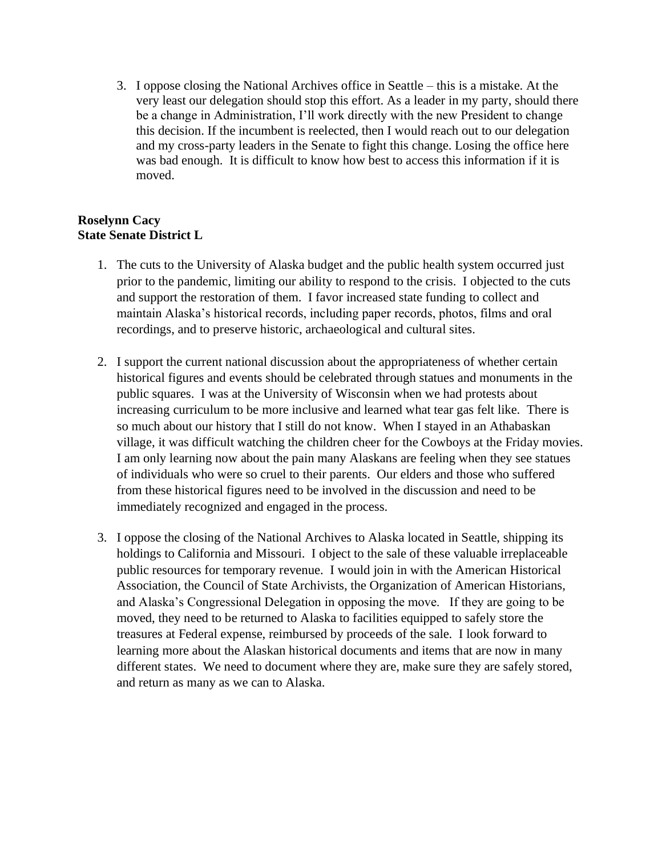3. I oppose closing the National Archives office in Seattle – this is a mistake. At the very least our delegation should stop this effort. As a leader in my party, should there be a change in Administration, I'll work directly with the new President to change this decision. If the incumbent is reelected, then I would reach out to our delegation and my cross-party leaders in the Senate to fight this change. Losing the office here was bad enough. It is difficult to know how best to access this information if it is moved.

### **Roselynn Cacy State Senate District L**

- 1. The cuts to the University of Alaska budget and the public health system occurred just prior to the pandemic, limiting our ability to respond to the crisis. I objected to the cuts and support the restoration of them. I favor increased state funding to collect and maintain Alaska's historical records, including paper records, photos, films and oral recordings, and to preserve historic, archaeological and cultural sites.
- 2. I support the current national discussion about the appropriateness of whether certain historical figures and events should be celebrated through statues and monuments in the public squares. I was at the University of Wisconsin when we had protests about increasing curriculum to be more inclusive and learned what tear gas felt like. There is so much about our history that I still do not know. When I stayed in an Athabaskan village, it was difficult watching the children cheer for the Cowboys at the Friday movies. I am only learning now about the pain many Alaskans are feeling when they see statues of individuals who were so cruel to their parents. Our elders and those who suffered from these historical figures need to be involved in the discussion and need to be immediately recognized and engaged in the process.
- 3. I oppose the closing of the National Archives to Alaska located in Seattle, shipping its holdings to California and Missouri. I object to the sale of these valuable irreplaceable public resources for temporary revenue. I would join in with the American Historical Association, the Council of State Archivists, the Organization of American Historians, and Alaska's Congressional Delegation in opposing the move. If they are going to be moved, they need to be returned to Alaska to facilities equipped to safely store the treasures at Federal expense, reimbursed by proceeds of the sale. I look forward to learning more about the Alaskan historical documents and items that are now in many different states. We need to document where they are, make sure they are safely stored, and return as many as we can to Alaska.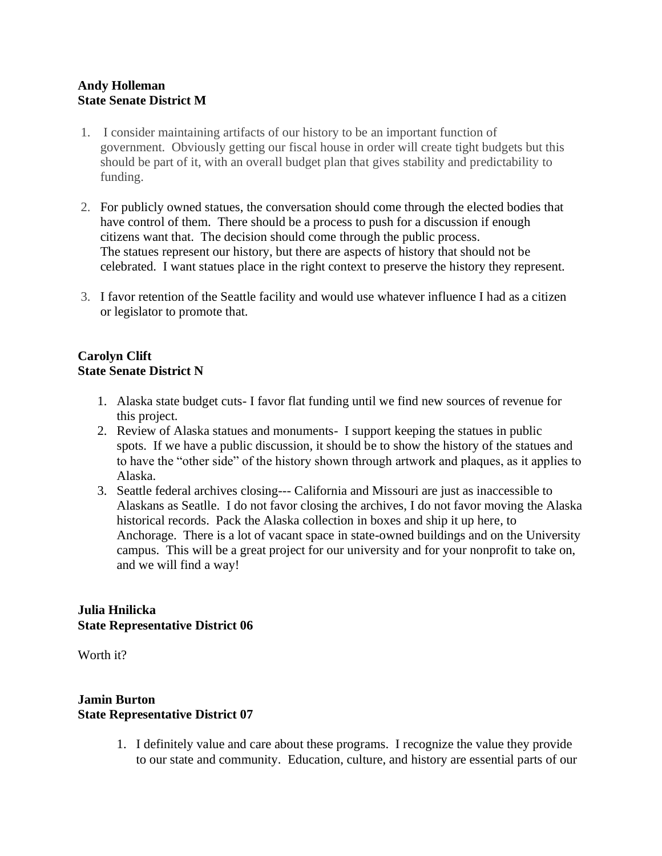#### **Andy Holleman State Senate District M**

- 1. I consider maintaining artifacts of our history to be an important function of government. Obviously getting our fiscal house in order will create tight budgets but this should be part of it, with an overall budget plan that gives stability and predictability to funding.
- 2. For publicly owned statues, the conversation should come through the elected bodies that have control of them. There should be a process to push for a discussion if enough citizens want that. The decision should come through the public process. The statues represent our history, but there are aspects of history that should not be celebrated. I want statues place in the right context to preserve the history they represent.
- 3. I favor retention of the Seattle facility and would use whatever influence I had as a citizen or legislator to promote that.

# **Carolyn Clift State Senate District N**

- 1. Alaska state budget cuts- I favor flat funding until we find new sources of revenue for this project.
- 2. Review of Alaska statues and monuments- I support keeping the statues in public spots. If we have a public discussion, it should be to show the history of the statues and to have the "other side" of the history shown through artwork and plaques, as it applies to Alaska.
- 3. Seattle federal archives closing--- California and Missouri are just as inaccessible to Alaskans as Seatlle. I do not favor closing the archives, I do not favor moving the Alaska historical records. Pack the Alaska collection in boxes and ship it up here, to Anchorage. There is a lot of vacant space in state-owned buildings and on the University campus. This will be a great project for our university and for your nonprofit to take on, and we will find a way!

# **Julia Hnilicka State Representative District 06**

Worth it?

### **Jamin Burton State Representative District 07**

1. I definitely value and care about these programs. I recognize the value they provide to our state and community. Education, culture, and history are essential parts of our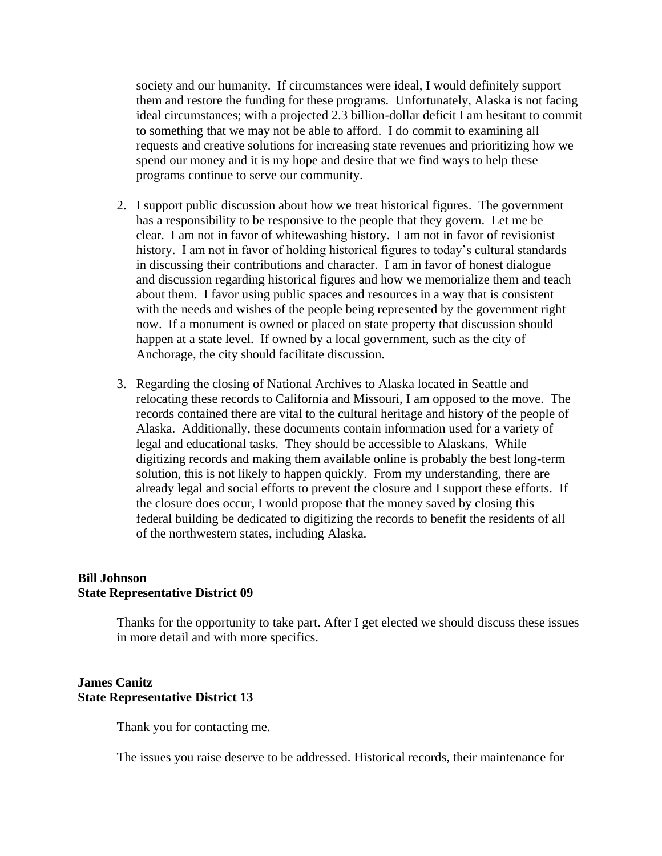society and our humanity. If circumstances were ideal, I would definitely support them and restore the funding for these programs. Unfortunately, Alaska is not facing ideal circumstances; with a projected 2.3 billion-dollar deficit I am hesitant to commit to something that we may not be able to afford. I do commit to examining all requests and creative solutions for increasing state revenues and prioritizing how we spend our money and it is my hope and desire that we find ways to help these programs continue to serve our community.

- 2. I support public discussion about how we treat historical figures. The government has a responsibility to be responsive to the people that they govern. Let me be clear. I am not in favor of whitewashing history. I am not in favor of revisionist history. I am not in favor of holding historical figures to today's cultural standards in discussing their contributions and character. I am in favor of honest dialogue and discussion regarding historical figures and how we memorialize them and teach about them. I favor using public spaces and resources in a way that is consistent with the needs and wishes of the people being represented by the government right now. If a monument is owned or placed on state property that discussion should happen at a state level. If owned by a local government, such as the city of Anchorage, the city should facilitate discussion.
- 3. Regarding the closing of National Archives to Alaska located in Seattle and relocating these records to California and Missouri, I am opposed to the move. The records contained there are vital to the cultural heritage and history of the people of Alaska. Additionally, these documents contain information used for a variety of legal and educational tasks. They should be accessible to Alaskans. While digitizing records and making them available online is probably the best long-term solution, this is not likely to happen quickly. From my understanding, there are already legal and social efforts to prevent the closure and I support these efforts. If the closure does occur, I would propose that the money saved by closing this federal building be dedicated to digitizing the records to benefit the residents of all of the northwestern states, including Alaska.

#### **Bill Johnson State Representative District 09**

Thanks for the opportunity to take part. After I get elected we should discuss these issues in more detail and with more specifics.

#### **James Canitz State Representative District 13**

Thank you for contacting me.

The issues you raise deserve to be addressed. Historical records, their maintenance for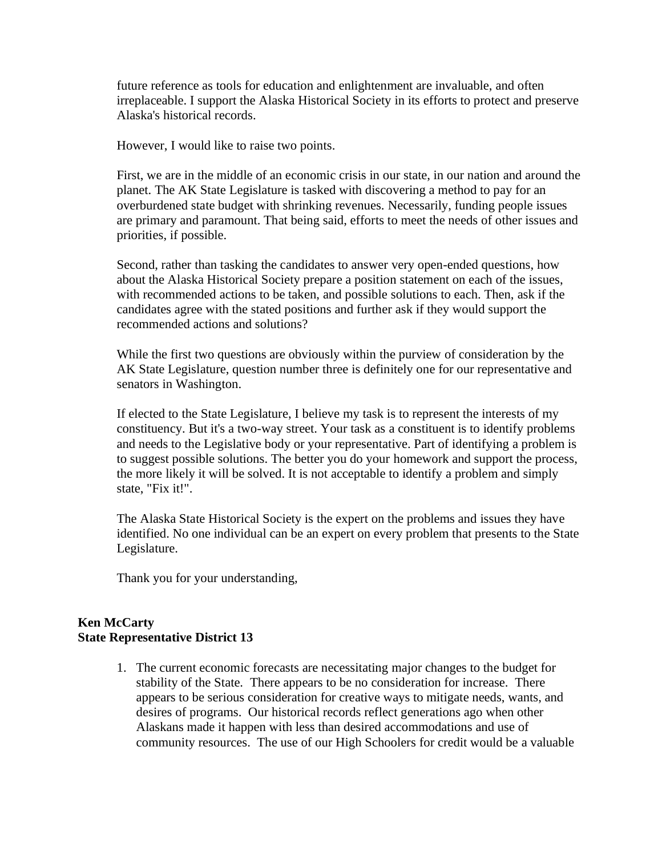future reference as tools for education and enlightenment are invaluable, and often irreplaceable. I support the Alaska Historical Society in its efforts to protect and preserve Alaska's historical records.

However, I would like to raise two points.

First, we are in the middle of an economic crisis in our state, in our nation and around the planet. The AK State Legislature is tasked with discovering a method to pay for an overburdened state budget with shrinking revenues. Necessarily, funding people issues are primary and paramount. That being said, efforts to meet the needs of other issues and priorities, if possible.

Second, rather than tasking the candidates to answer very open-ended questions, how about the Alaska Historical Society prepare a position statement on each of the issues, with recommended actions to be taken, and possible solutions to each. Then, ask if the candidates agree with the stated positions and further ask if they would support the recommended actions and solutions?

While the first two questions are obviously within the purview of consideration by the AK State Legislature, question number three is definitely one for our representative and senators in Washington.

If elected to the State Legislature, I believe my task is to represent the interests of my constituency. But it's a two-way street. Your task as a constituent is to identify problems and needs to the Legislative body or your representative. Part of identifying a problem is to suggest possible solutions. The better you do your homework and support the process, the more likely it will be solved. It is not acceptable to identify a problem and simply state, "Fix it!".

The Alaska State Historical Society is the expert on the problems and issues they have identified. No one individual can be an expert on every problem that presents to the State Legislature.

Thank you for your understanding,

#### **Ken McCarty State Representative District 13**

1. The current economic forecasts are necessitating major changes to the budget for stability of the State. There appears to be no consideration for increase. There appears to be serious consideration for creative ways to mitigate needs, wants, and desires of programs. Our historical records reflect generations ago when other Alaskans made it happen with less than desired accommodations and use of community resources. The use of our High Schoolers for credit would be a valuable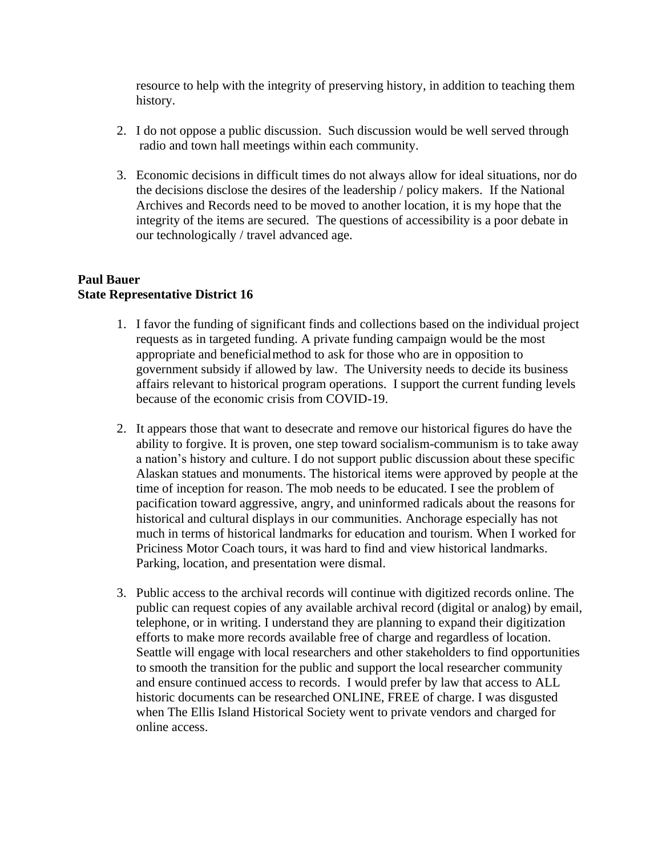resource to help with the integrity of preserving history, in addition to teaching them history.

- 2. I do not oppose a public discussion. Such discussion would be well served through radio and town hall meetings within each community.
- 3. Economic decisions in difficult times do not always allow for ideal situations, nor do the decisions disclose the desires of the leadership / policy makers. If the National Archives and Records need to be moved to another location, it is my hope that the integrity of the items are secured. The questions of accessibility is a poor debate in our technologically / travel advanced age.

#### **Paul Bauer State Representative District 16**

- 1. I favor the funding of significant finds and collections based on the individual project requests as in targeted funding. A private funding campaign would be the most appropriate and beneficialmethod to ask for those who are in opposition to government subsidy if allowed by law. The University needs to decide its business affairs relevant to historical program operations. I support the current funding levels because of the economic crisis from COVID-19.
- 2. It appears those that want to desecrate and remove our historical figures do have the ability to forgive. It is proven, one step toward socialism-communism is to take away a nation's history and culture. I do not support public discussion about these specific Alaskan statues and monuments. The historical items were approved by people at the time of inception for reason. The mob needs to be educated. I see the problem of pacification toward aggressive, angry, and uninformed radicals about the reasons for historical and cultural displays in our communities. Anchorage especially has not much in terms of historical landmarks for education and tourism. When I worked for Priciness Motor Coach tours, it was hard to find and view historical landmarks. Parking, location, and presentation were dismal.
- 3. Public access to the archival records will continue with digitized records online. The public can request copies of any available archival record (digital or analog) by email, telephone, or in writing. I understand they are planning to expand their digitization efforts to make more records available free of charge and regardless of location. Seattle will engage with local researchers and other stakeholders to find opportunities to smooth the transition for the public and support the local researcher community and ensure continued access to records. I would prefer by law that access to ALL historic documents can be researched ONLINE, FREE of charge. I was disgusted when The Ellis Island Historical Society went to private vendors and charged for online access.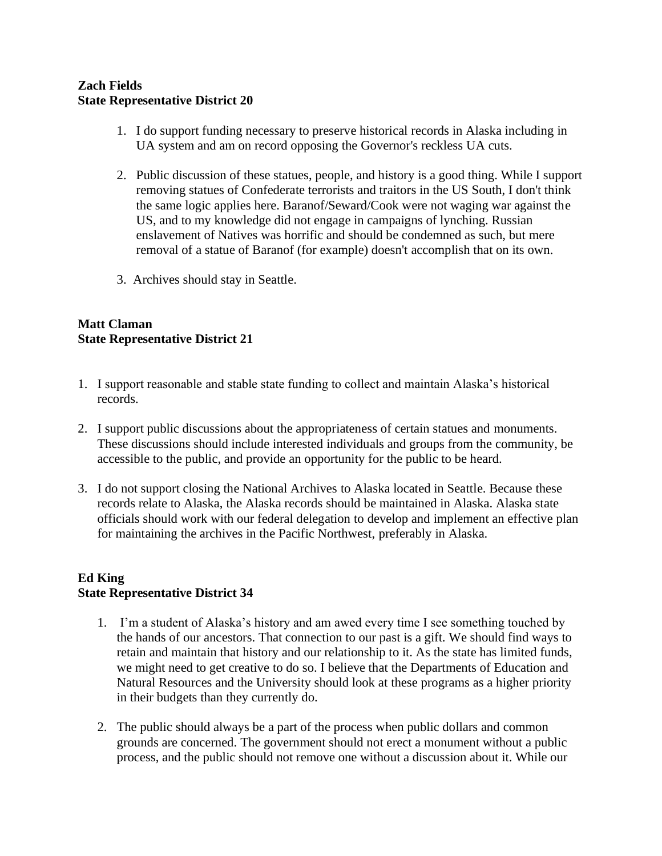#### **Zach Fields State Representative District 20**

- 1. I do support funding necessary to preserve historical records in Alaska including in UA system and am on record opposing the Governor's reckless UA cuts.
- 2. Public discussion of these statues, people, and history is a good thing. While I support removing statues of Confederate terrorists and traitors in the US South, I don't think the same logic applies here. Baranof/Seward/Cook were not waging war against the US, and to my knowledge did not engage in campaigns of lynching. Russian enslavement of Natives was horrific and should be condemned as such, but mere removal of a statue of Baranof (for example) doesn't accomplish that on its own.
- 3. Archives should stay in Seattle.

# **Matt Claman State Representative District 21**

- 1. I support reasonable and stable state funding to collect and maintain Alaska's historical records.
- 2. I support public discussions about the appropriateness of certain statues and monuments. These discussions should include interested individuals and groups from the community, be accessible to the public, and provide an opportunity for the public to be heard.
- 3. I do not support closing the National Archives to Alaska located in Seattle. Because these records relate to Alaska, the Alaska records should be maintained in Alaska. Alaska state officials should work with our federal delegation to develop and implement an effective plan for maintaining the archives in the Pacific Northwest, preferably in Alaska.

#### **Ed King State Representative District 34**

- 1. I'm a student of Alaska's history and am awed every time I see something touched by the hands of our ancestors. That connection to our past is a gift. We should find ways to retain and maintain that history and our relationship to it. As the state has limited funds, we might need to get creative to do so. I believe that the Departments of Education and Natural Resources and the University should look at these programs as a higher priority in their budgets than they currently do.
- 2. The public should always be a part of the process when public dollars and common grounds are concerned. The government should not erect a monument without a public process, and the public should not remove one without a discussion about it. While our